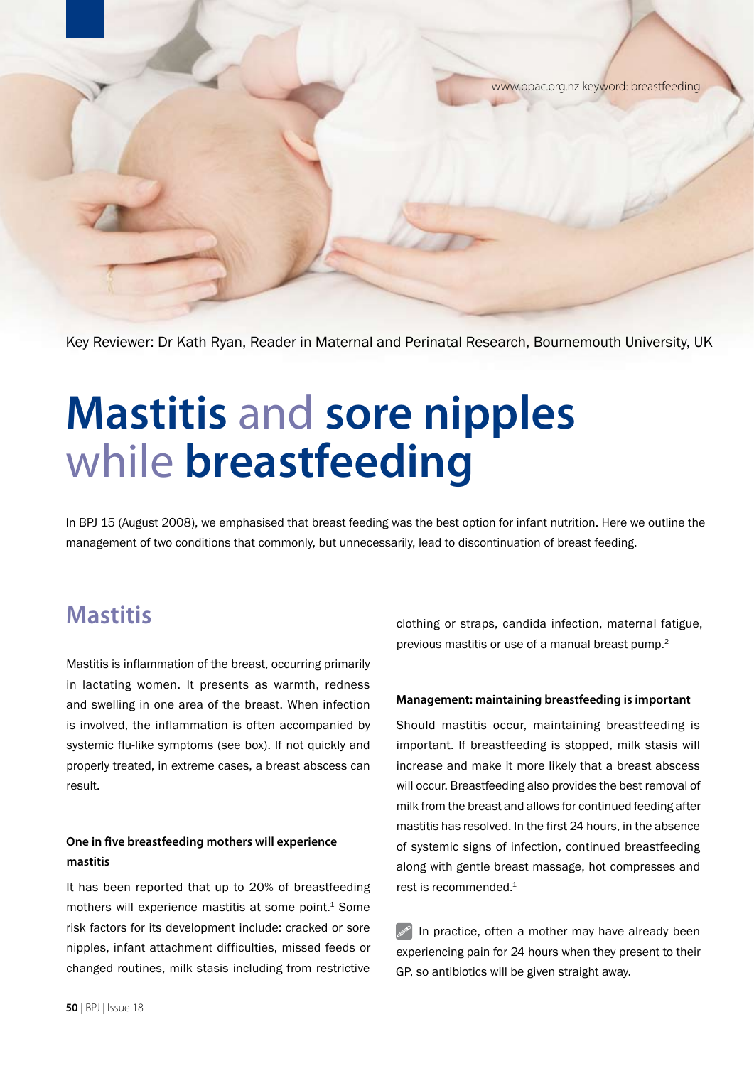www.bpac.org.nz keyword: breastfeeding

Key Reviewer: Dr Kath Ryan, Reader in Maternal and Perinatal Research, Bournemouth University, UK

# **Mastitis** and **sore nipples** while **breastfeeding**

In BPJ 15 (August 2008), we emphasised that breast feeding was the best option for infant nutrition. Here we outline the management of two conditions that commonly, but unnecessarily, lead to discontinuation of breast feeding.

# **Mastitis**

Mastitis is inflammation of the breast, occurring primarily in lactating women. It presents as warmth, redness and swelling in one area of the breast. When infection is involved, the inflammation is often accompanied by systemic flu-like symptoms (see box). If not quickly and properly treated, in extreme cases, a breast abscess can result.

## **One in five breastfeeding mothers will experience mastitis**

It has been reported that up to 20% of breastfeeding mothers will experience mastitis at some point.<sup>1</sup> Some risk factors for its development include: cracked or sore nipples, infant attachment difficulties, missed feeds or changed routines, milk stasis including from restrictive clothing or straps, candida infection, maternal fatigue, previous mastitis or use of a manual breast pump.<sup>2</sup>

### **Management: maintaining breastfeeding is important**

Should mastitis occur, maintaining breastfeeding is important. If breastfeeding is stopped, milk stasis will increase and make it more likely that a breast abscess will occur. Breastfeeding also provides the best removal of milk from the breast and allows for continued feeding after mastitis has resolved. In the first 24 hours, in the absence of systemic signs of infection, continued breastfeeding along with gentle breast massage, hot compresses and rest is recommended.<sup>1</sup>

 $\mathscr{P}$  In practice, often a mother may have already been experiencing pain for 24 hours when they present to their GP, so antibiotics will be given straight away.